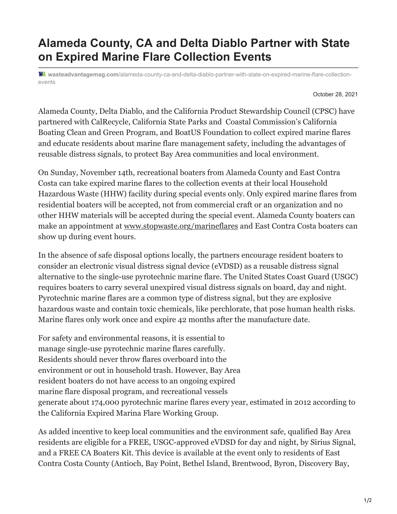## **Alameda County, CA and Delta Diablo Partner with State on Expired Marine Flare Collection Events**

**wasteadvantagemag.com**[/alameda-county-ca-and-delta-diablo-partner-with-state-on-expired-marine-flare-collection](https://wasteadvantagemag.com/alameda-county-ca-and-delta-diablo-partner-with-state-on-expired-marine-flare-collection-events/)events

October 28, 2021

Alameda County, Delta Diablo, and the California Product Stewardship Council (CPSC) have partnered with CalRecycle, California State Parks and Coastal Commission's California Boating Clean and Green Program, and BoatUS Foundation to collect expired marine flares and educate residents about marine flare management safety, including the advantages of reusable distress signals, to protect Bay Area communities and local environment.

On Sunday, November 14th, recreational boaters from Alameda County and East Contra Costa can take expired marine flares to the collection events at their local Household Hazardous Waste (HHW) facility during special events only. Only expired marine flares from residential boaters will be accepted, not from commercial craft or an organization and no other HHW materials will be accepted during the special event. Alameda County boaters can make an appointment at [www.stopwaste.org/marineflares](http://www.stopwaste.org/marineflares) and East Contra Costa boaters can show up during event hours.

In the absence of safe disposal options locally, the partners encourage resident boaters to consider an electronic visual distress signal device (eVDSD) as a reusable distress signal alternative to the single-use pyrotechnic marine flare. The United States Coast Guard (USGC) requires boaters to carry several unexpired visual distress signals on board, day and night. Pyrotechnic marine flares are a common type of distress signal, but they are explosive hazardous waste and contain toxic chemicals, like perchlorate, that pose human health risks. Marine flares only work once and expire 42 months after the manufacture date.

For safety and environmental reasons, it is essential to manage single-use pyrotechnic marine flares carefully. Residents should never throw flares overboard into the environment or out in household trash. However, Bay Area resident boaters do not have access to an ongoing expired marine flare disposal program, and recreational vessels generate about 174,000 pyrotechnic marine flares every year, estimated in 2012 according to the California Expired Marina Flare Working Group.

As added incentive to keep local communities and the environment safe, qualified Bay Area residents are eligible for a FREE, USGC-approved eVDSD for day and night, by Sirius Signal, and a FREE CA Boaters Kit. This device is available at the event only to residents of East Contra Costa County (Antioch, Bay Point, Bethel Island, Brentwood, Byron, Discovery Bay,